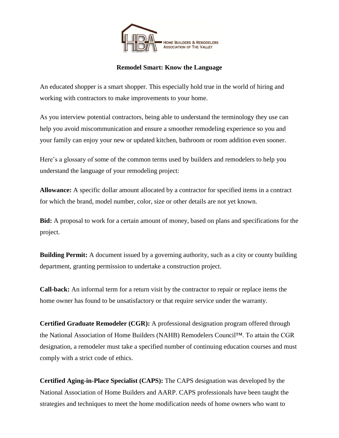

## **Remodel Smart: Know the Language**

An educated shopper is a smart shopper. This especially hold true in the world of hiring and working with contractors to make improvements to your home.

As you interview potential contractors, being able to understand the terminology they use can help you avoid miscommunication and ensure a smoother remodeling experience so you and your family can enjoy your new or updated kitchen, bathroom or room addition even sooner.

Here's a glossary of some of the common terms used by builders and remodelers to help you understand the language of your remodeling project:

**Allowance:** A specific dollar amount allocated by a contractor for specified items in a contract for which the brand, model number, color, size or other details are not yet known.

**Bid:** A proposal to work for a certain amount of money, based on plans and specifications for the project.

**Building Permit:** A document issued by a governing authority, such as a city or county building department, granting permission to undertake a construction project.

**Call-back:** An informal term for a return visit by the contractor to repair or replace items the home owner has found to be unsatisfactory or that require service under the warranty.

**Certified Graduate Remodeler (CGR):** A professional designation program offered through the National Association of Home Builders (NAHB) Remodelers Council™. To attain the CGR designation, a remodeler must take a specified number of continuing education courses and must comply with a strict code of ethics.

**Certified Aging-in-Place Specialist (CAPS):** The CAPS designation was developed by the National Association of Home Builders and AARP. CAPS professionals have been taught the strategies and techniques to meet the home modification needs of home owners who want to